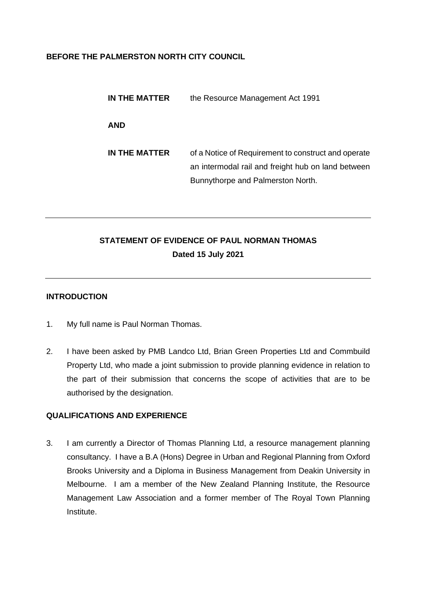### **BEFORE THE PALMERSTON NORTH CITY COUNCIL**

| IN THE MATTER | the Resource Management Act 1991                                                                                                               |
|---------------|------------------------------------------------------------------------------------------------------------------------------------------------|
| <b>AND</b>    |                                                                                                                                                |
| IN THE MATTER | of a Notice of Requirement to construct and operate<br>an intermodal rail and freight hub on land between<br>Bunnythorpe and Palmerston North. |

# **STATEMENT OF EVIDENCE OF PAUL NORMAN THOMAS Dated 15 July 2021**

### **INTRODUCTION**

- 1. My full name is Paul Norman Thomas.
- 2. I have been asked by PMB Landco Ltd, Brian Green Properties Ltd and Commbuild Property Ltd, who made a joint submission to provide planning evidence in relation to the part of their submission that concerns the scope of activities that are to be authorised by the designation.

## **QUALIFICATIONS AND EXPERIENCE**

3. I am currently a Director of Thomas Planning Ltd, a resource management planning consultancy. I have a B.A (Hons) Degree in Urban and Regional Planning from Oxford Brooks University and a Diploma in Business Management from Deakin University in Melbourne. I am a member of the New Zealand Planning Institute, the Resource Management Law Association and a former member of The Royal Town Planning Institute.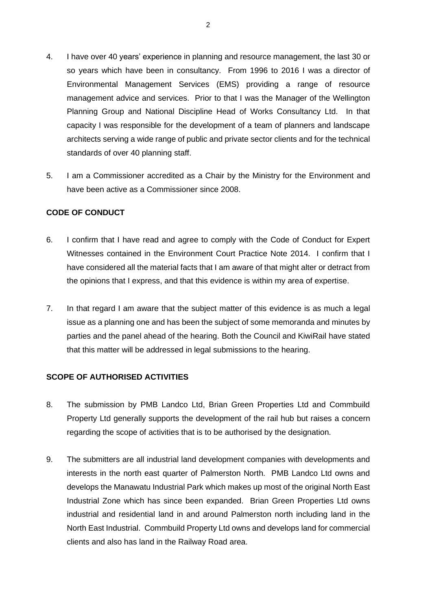- 4. I have over 40 years' experience in planning and resource management, the last 30 or so years which have been in consultancy. From 1996 to 2016 I was a director of Environmental Management Services (EMS) providing a range of resource management advice and services. Prior to that I was the Manager of the Wellington Planning Group and National Discipline Head of Works Consultancy Ltd. In that capacity I was responsible for the development of a team of planners and landscape architects serving a wide range of public and private sector clients and for the technical standards of over 40 planning staff.
- 5. I am a Commissioner accredited as a Chair by the Ministry for the Environment and have been active as a Commissioner since 2008.

#### **CODE OF CONDUCT**

- 6. I confirm that I have read and agree to comply with the Code of Conduct for Expert Witnesses contained in the Environment Court Practice Note 2014. I confirm that I have considered all the material facts that I am aware of that might alter or detract from the opinions that I express, and that this evidence is within my area of expertise.
- 7. In that regard I am aware that the subject matter of this evidence is as much a legal issue as a planning one and has been the subject of some memoranda and minutes by parties and the panel ahead of the hearing. Both the Council and KiwiRail have stated that this matter will be addressed in legal submissions to the hearing.

# **SCOPE OF AUTHORISED ACTIVITIES**

- 8. The submission by PMB Landco Ltd, Brian Green Properties Ltd and Commbuild Property Ltd generally supports the development of the rail hub but raises a concern regarding the scope of activities that is to be authorised by the designation.
- 9. The submitters are all industrial land development companies with developments and interests in the north east quarter of Palmerston North. PMB Landco Ltd owns and develops the Manawatu Industrial Park which makes up most of the original North East Industrial Zone which has since been expanded. Brian Green Properties Ltd owns industrial and residential land in and around Palmerston north including land in the North East Industrial. Commbuild Property Ltd owns and develops land for commercial clients and also has land in the Railway Road area.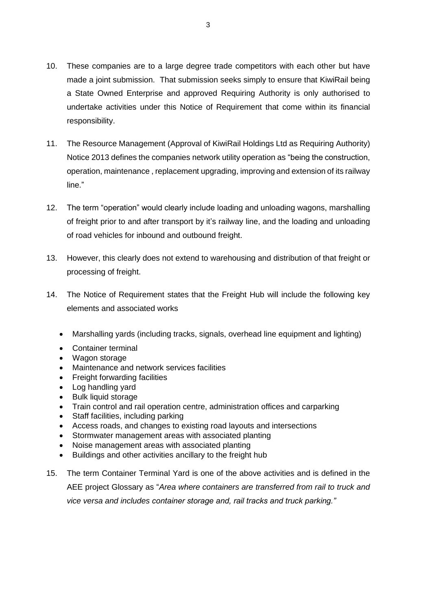- 10. These companies are to a large degree trade competitors with each other but have made a joint submission. That submission seeks simply to ensure that KiwiRail being a State Owned Enterprise and approved Requiring Authority is only authorised to undertake activities under this Notice of Requirement that come within its financial responsibility.
- 11. The Resource Management (Approval of KiwiRail Holdings Ltd as Requiring Authority) Notice 2013 defines the companies network utility operation as "being the construction, operation, maintenance , replacement upgrading, improving and extension of its railway line."
- 12. The term "operation" would clearly include loading and unloading wagons, marshalling of freight prior to and after transport by it's railway line, and the loading and unloading of road vehicles for inbound and outbound freight.
- 13. However, this clearly does not extend to warehousing and distribution of that freight or processing of freight.
- 14. The Notice of Requirement states that the Freight Hub will include the following key elements and associated works
	- Marshalling yards (including tracks, signals, overhead line equipment and lighting)
	- Container terminal
	- Wagon storage
	- Maintenance and network services facilities
	- Freight forwarding facilities
	- Log handling yard
	- Bulk liquid storage
	- Train control and rail operation centre, administration offices and carparking
	- Staff facilities, including parking
	- Access roads, and changes to existing road layouts and intersections
	- Stormwater management areas with associated planting
	- Noise management areas with associated planting
	- Buildings and other activities ancillary to the freight hub
- 15. The term Container Terminal Yard is one of the above activities and is defined in the AEE project Glossary as "*Area where containers are transferred from rail to truck and vice versa and includes container storage and, rail tracks and truck parking."*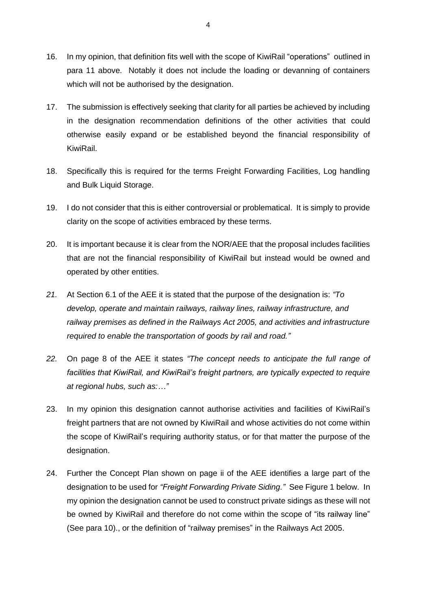- 16. In my opinion, that definition fits well with the scope of KiwiRail "operations" outlined in para 11 above. Notably it does not include the loading or devanning of containers which will not be authorised by the designation.
- 17. The submission is effectively seeking that clarity for all parties be achieved by including in the designation recommendation definitions of the other activities that could otherwise easily expand or be established beyond the financial responsibility of KiwiRail.
- 18. Specifically this is required for the terms Freight Forwarding Facilities, Log handling and Bulk Liquid Storage.
- 19. I do not consider that this is either controversial or problematical. It is simply to provide clarity on the scope of activities embraced by these terms.
- 20. It is important because it is clear from the NOR/AEE that the proposal includes facilities that are not the financial responsibility of KiwiRail but instead would be owned and operated by other entities.
- *21.* At Section 6.1 of the AEE it is stated that the purpose of the designation is: *"To develop, operate and maintain railways, railway lines, railway infrastructure, and railway premises as defined in the Railways Act 2005, and activities and infrastructure required to enable the transportation of goods by rail and road."*
- *22.* On page 8 of the AEE it states *"The concept needs to anticipate the full range of facilities that KiwiRail, and KiwiRail's freight partners, are typically expected to require at regional hubs, such as:…"*
- 23. In my opinion this designation cannot authorise activities and facilities of KiwiRail's freight partners that are not owned by KiwiRail and whose activities do not come within the scope of KiwiRail's requiring authority status, or for that matter the purpose of the designation.
- 24. Further the Concept Plan shown on page ii of the AEE identifies a large part of the designation to be used for *"Freight Forwarding Private Siding."* See Figure 1 below. In my opinion the designation cannot be used to construct private sidings as these will not be owned by KiwiRail and therefore do not come within the scope of "its railway line" (See para 10)., or the definition of "railway premises" in the Railways Act 2005.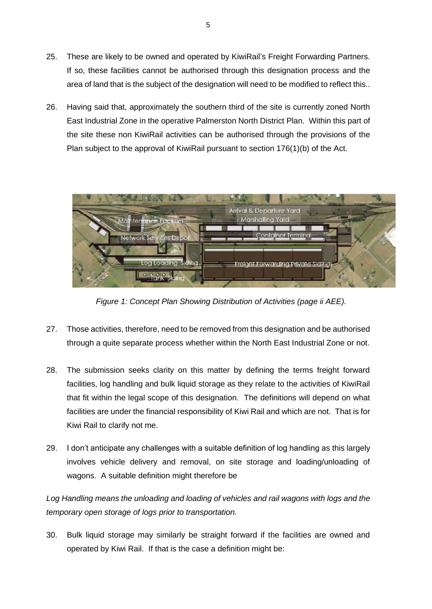- 25. These are likely to be owned and operated by KiwiRail's Freight Forwarding Partners. If so, these facilities cannot be authorised through this designation process and the area of land that is the subject of the designation will need to be modified to reflect this..
- 26. Having said that, approximately the southern third of the site is currently zoned North East Industrial Zone in the operative Palmerston North District Plan. Within this part of the site these non KiwiRail activities can be authorised through the provisions of the Plan subject to the approval of KiwiRail pursuant to section 176(1)(b) of the Act.



*Figure 1: Concept Plan Showing Distribution of Activities (page ii AEE).*

- 27. Those activities, therefore, need to be removed from this designation and be authorised through a quite separate process whether within the North East Industrial Zone or not.
- 28. The submission seeks clarity on this matter by defining the terms freight forward facilities, log handling and bulk liquid storage as they relate to the activities of KiwiRail that fit within the legal scope of this designation. The definitions will depend on what facilities are under the financial responsibility of Kiwi Rail and which are not. That is for Kiwi Rail to clarify not me.
- 29. I don't anticipate any challenges with a suitable definition of log handling as this largely involves vehicle delivery and removal, on site storage and loading/unloading of wagons. A suitable definition might therefore be

*Log Handling means the unloading and loading of vehicles and rail wagons with logs and the temporary open storage of logs prior to transportation.*

30. Bulk liquid storage may similarly be straight forward if the facilities are owned and operated by Kiwi Rail. If that is the case a definition might be: